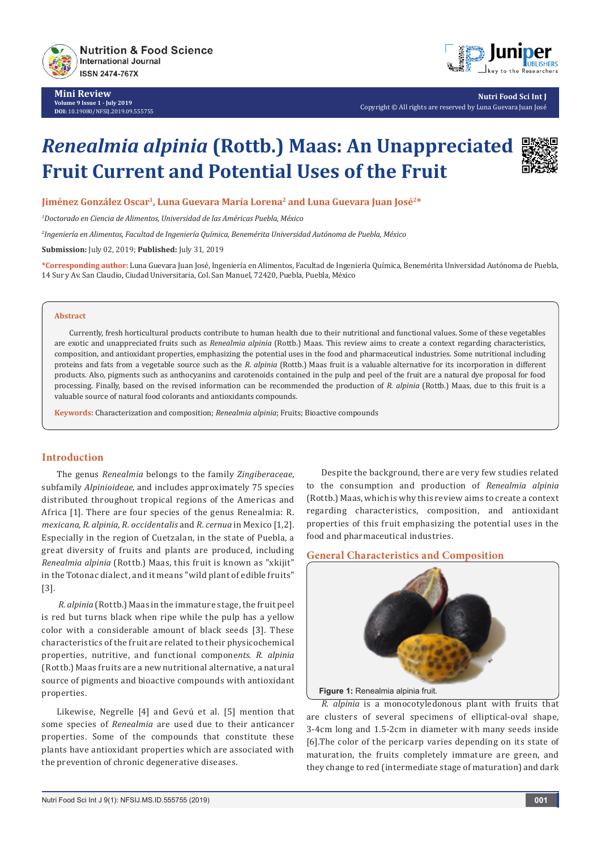

**Mini Review Volume 9 Issue 1 - July 2019 DOI:** [10.19080/NFSIJ.2019.09.555755](http://dx.doi.org/10.19080/NFSIJ.2019.09.555755)



**Nutri Food Sci Int J** Copyright © All rights are reserved by Luna Guevara Juan José

# *Renealmia alpinia* **(Rottb.) Maas: An Unappreciated Fruit Current and Potential Uses of the Fruit**



**Jiménez González Oscar1, Luna Guevara María Lorena2 and Luna Guevara Juan José2\***

*1 Doctorado en Ciencia de Alimentos, Universidad de las Américas Puebla, México*

*2 Ingeniería en Alimentos, Facultad de Ingeniería Química, Benemérita Universidad Autónoma de Puebla, México*

**Submission:** July 02, 2019; **Published:** July 31, 2019

**\*Corresponding author:** Luna Guevara Juan José, Ingeniería en Alimentos, Facultad de Ingeniería Química, Benemérita Universidad Autónoma de Puebla, 14 Sur y Av. San Claudio, Ciudad Universitaria, Col. San Manuel, 72420, Puebla, Puebla, México

#### **Abstract**

Currently, fresh horticultural products contribute to human health due to their nutritional and functional values. Some of these vegetables are exotic and unappreciated fruits such as *Renealmia alpinia* (Rottb.) Maas. This review aims to create a context regarding characteristics, composition, and antioxidant properties, emphasizing the potential uses in the food and pharmaceutical industries. Some nutritional including proteins and fats from a vegetable source such as the *R. alpinia* (Rottb.) Maas fruit is a valuable alternative for its incorporation in different products. Also, pigments such as anthocyanins and carotenoids contained in the pulp and peel of the fruit are a natural dye proposal for food processing. Finally, based on the revised information can be recommended the production of *R. alpinia* (Rottb.) Maas, due to this fruit is a valuable source of natural food colorants and antioxidants compounds.

**Keywords:** Characterization and composition; *Renealmia alpinia*; Fruits; Bioactive compounds

## **Introduction**

The genus *Renealmia* belongs to the family *Zingiberaceae*, subfamily *Alpinioideae*, and includes approximately 75 species distributed throughout tropical regions of the Americas and Africa [1]. There are four species of the genus Renealmia: R. *mexicana*, *R. alpinia*, *R. occidentalis* and *R. cernua* in Mexico [1,2]. Especially in the region of Cuetzalan, in the state of Puebla, a great diversity of fruits and plants are produced, including *Renealmia alpinia* (Rottb.) Maas, this fruit is known as "xkijit" in the Totonac dialect, and it means "wild plant of edible fruits" [3].

 *R. alpinia* (Rottb.) Maas in the immature stage, the fruit peel is red but turns black when ripe while the pulp has a yellow color with a considerable amount of black seeds [3]. These characteristics of the fruit are related to their physicochemical properties, nutritive, and functional compone*nts. R. alpinia* (Rottb.) Maas fruits are a new nutritional alternative, a natural source of pigments and bioactive compounds with antioxidant properties.

Likewise, Negrelle [4] and Gevú et al. [5] mention that some species of *Renealmia* are used due to their anticancer properties. Some of the compounds that constitute these plants have antioxidant properties which are associated with the prevention of chronic degenerative diseases.

Despite the background, there are very few studies related to the consumption and production of *Renealmia alpinia* (Rottb.) Maas, which is why this review aims to create a context regarding characteristics, composition, and antioxidant properties of this fruit emphasizing the potential uses in the food and pharmaceutical industries.

#### **General Characteristics and Composition**



**Figure 1:** Renealmia alpinia fruit.

*R. alpinia* is a monocotyledonous plant with fruits that are clusters of several specimens of elliptical-oval shape, 3-4cm long and 1.5-2cm in diameter with many seeds inside [6].The color of the pericarp varies depending on its state of maturation, the fruits completely immature are green, and they change to red (intermediate stage of maturation) and dark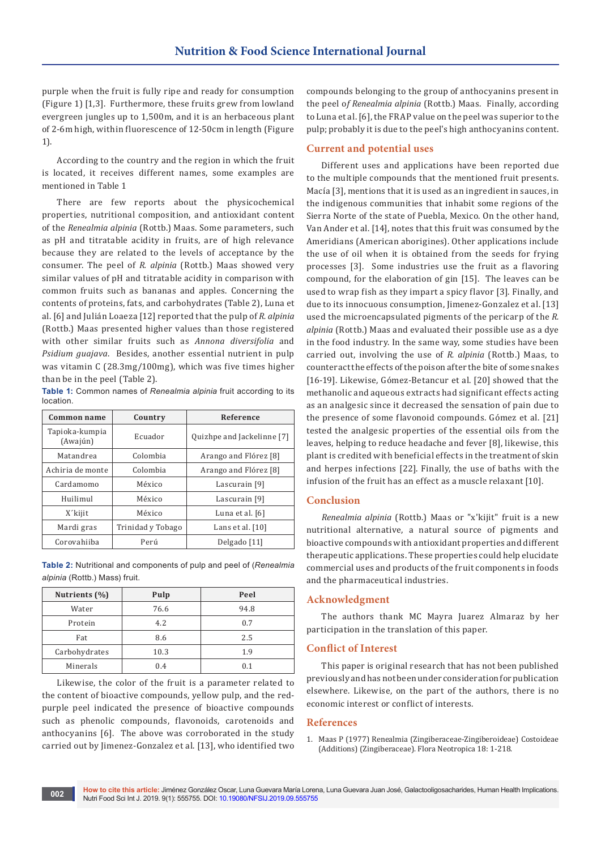purple when the fruit is fully ripe and ready for consumption (Figure 1) [1,3]. Furthermore, these fruits grew from lowland evergreen jungles up to 1,500m, and it is an herbaceous plant of 2-6m high, within fluorescence of 12-50cm in length (Figure 1).

According to the country and the region in which the fruit is located, it receives different names, some examples are mentioned in Table 1

There are few reports about the physicochemical properties, nutritional composition, and antioxidant content of the *Renealmia alpinia* (Rottb.) Maas. Some parameters, such as pH and titratable acidity in fruits, are of high relevance because they are related to the levels of acceptance by the consumer. The peel of *R. alpinia* (Rottb.) Maas showed very similar values of pH and titratable acidity in comparison with common fruits such as bananas and apples. Concerning the contents of proteins, fats, and carbohydrates (Table 2), Luna et al. [6] and Julián Loaeza [12] reported that the pulp of *R. alpinia* (Rottb.) Maas presented higher values than those registered with other similar fruits such as *Annona diversifolia* and *Psidium guajava*. Besides, another essential nutrient in pulp was vitamin C (28.3mg/100mg), which was five times higher than be in the peel (Table 2).

**Table 1:** Common names of *Renealmia alpinia* fruit according to its location.

| Common name                | Country           | Reference                  |
|----------------------------|-------------------|----------------------------|
| Tapioka-kumpia<br>(Awajún) | Ecuador           | Quizhpe and Jackelinne [7] |
| Matandrea                  | Colombia          | Arango and Flórez [8]      |
| Achiria de monte           | Colombia          | Arango and Flórez [8]      |
| Cardamomo                  | México            | Lascurain [9]              |
| Huilimul                   | México            | Lascurain <sup>[9]</sup>   |
| X'kijit                    | México            | Luna et al. [6]            |
| Mardi gras                 | Trinidad y Tobago | Lans et al. [10]           |
| Corovahiiba                | Perú              | Delgado [11]               |

**Table 2:** Nutritional and components of pulp and peel of (*Renealmia alpinia* (Rottb.) Mass) fruit.

| Nutrients (%) | Pulp | Peel |
|---------------|------|------|
| Water         | 76.6 | 94.8 |
| Protein       | 4.2  | 0.7  |
| Fat           | 8.6  | 2.5  |
| Carbohydrates | 10.3 | 1.9  |
| Minerals      | 0.4  | 0.1  |

Likewise, the color of the fruit is a parameter related to the content of bioactive compounds, yellow pulp, and the redpurple peel indicated the presence of bioactive compounds such as phenolic compounds, flavonoids, carotenoids and anthocyanins [6]. The above was corroborated in the study carried out by Jimenez-Gonzalez et al. [13], who identified two

compounds belonging to the group of anthocyanins present in the peel o*f Renealmia alpinia* (Rottb.) Maas. Finally, according to Luna et al. [6], the FRAP value on the peel was superior to the pulp; probably it is due to the peel's high anthocyanins content.

## **Current and potential uses**

Different uses and applications have been reported due to the multiple compounds that the mentioned fruit presents. Macía [3], mentions that it is used as an ingredient in sauces, in the indigenous communities that inhabit some regions of the Sierra Norte of the state of Puebla, Mexico. On the other hand, Van Ander et al. [14], notes that this fruit was consumed by the Ameridians (American aborigines). Other applications include the use of oil when it is obtained from the seeds for frying processes [3]. Some industries use the fruit as a flavoring compound, for the elaboration of gin [15]. The leaves can be used to wrap fish as they impart a spicy flavor [3]. Finally, and due to its innocuous consumption, Jimenez-Gonzalez et al. [13] used the microencapsulated pigments of the pericarp of the *R. alpinia* (Rottb.) Maas and evaluated their possible use as a dye in the food industry. In the same way, some studies have been carried out, involving the use of *R. alpinia* (Rottb.) Maas, to counteract the effects of the poison after the bite of some snakes [16-19]. Likewise, Gómez-Betancur et al. [20] showed that the methanolic and aqueous extracts had significant effects acting as an analgesic since it decreased the sensation of pain due to the presence of some flavonoid compounds. Gómez et al. [21] tested the analgesic properties of the essential oils from the leaves, helping to reduce headache and fever [8], likewise, this plant is credited with beneficial effects in the treatment of skin and herpes infections [22]. Finally, the use of baths with the infusion of the fruit has an effect as a muscle relaxant [10].

## **Conclusion**

*Renealmia alpinia* (Rottb.) Maas or "x'kijit" fruit is a new nutritional alternative, a natural source of pigments and bioactive compounds with antioxidant properties and different therapeutic applications. These properties could help elucidate commercial uses and products of the fruit components in foods and the pharmaceutical industries.

## **Acknowledgment**

The authors thank MC Mayra Juarez Almaraz by her participation in the translation of this paper.

## **Conflict of Interest**

This paper is original research that has not been published previously and has not been under consideration for publication elsewhere. Likewise, on the part of the authors, there is no economic interest or conflict of interests.

#### **References**

1. Maas P (1977) Renealmia (Zingiberaceae-Zingiberoideae) Costoideae (Additions) (Zingiberaceae). Flora Neotropica 18: 1-218.